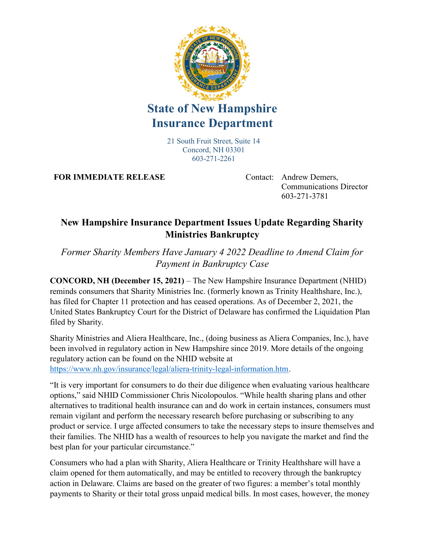

## State of New Hampshire Insurance Department

21 South Fruit Street, Suite 14 Concord, NH 03301 603-271-2261

FOR IMMEDIATE RELEASE Contact: Andrew Demers,

Communications Director 603-271-3781

## New Hampshire Insurance Department Issues Update Regarding Sharity Ministries Bankruptcy

Former Sharity Members Have January 4 2022 Deadline to Amend Claim for Payment in Bankruptcy Case

CONCORD, NH (December 15, 2021) – The New Hampshire Insurance Department (NHID) reminds consumers that Sharity Ministries Inc. (formerly known as Trinity Healthshare, Inc.), has filed for Chapter 11 protection and has ceased operations. As of December 2, 2021, the United States Bankruptcy Court for the District of Delaware has confirmed the Liquidation Plan filed by Sharity.

Sharity Ministries and Aliera Healthcare, Inc., (doing business as Aliera Companies, Inc.), have been involved in regulatory action in New Hampshire since 2019. More details of the ongoing regulatory action can be found on the NHID website at https://www.nh.gov/insurance/legal/aliera-trinity-legal-information.htm.

"It is very important for consumers to do their due diligence when evaluating various healthcare options," said NHID Commissioner Chris Nicolopoulos. "While health sharing plans and other alternatives to traditional health insurance can and do work in certain instances, consumers must remain vigilant and perform the necessary research before purchasing or subscribing to any product or service. I urge affected consumers to take the necessary steps to insure themselves and their families. The NHID has a wealth of resources to help you navigate the market and find the best plan for your particular circumstance."

Consumers who had a plan with Sharity, Aliera Healthcare or Trinity Healthshare will have a claim opened for them automatically, and may be entitled to recovery through the bankruptcy action in Delaware. Claims are based on the greater of two figures: a member's total monthly payments to Sharity or their total gross unpaid medical bills. In most cases, however, the money